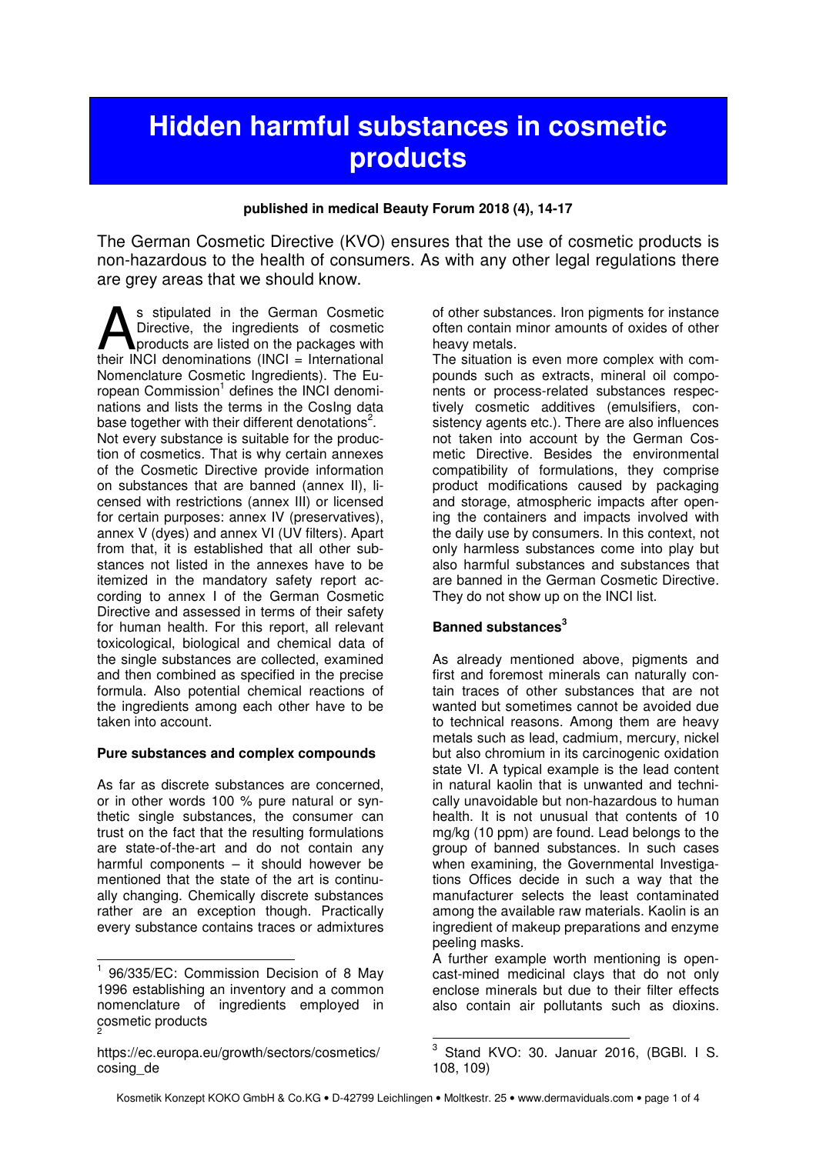# **Hidden harmful substances in cosmetic products**

#### **published in medical Beauty Forum 2018 (4), 14-17**

The German Cosmetic Directive (KVO) ensures that the use of cosmetic products is non-hazardous to the health of consumers. As with any other legal regulations there are grey areas that we should know.

s stipulated in the German Cosmetic Directive, the ingredients of cosmetic products are listed on the packages with S stipulated in the German Cosmetic<br>Directive, the ingredients of cosmetic<br>their INCI denominations (INCI = International Nomenclature Cosmetic Ingredients). The European Commission<sup>1</sup> defines the INCI denominations and lists the terms in the CosIng data base together with their different denotations<sup>2</sup>. Not every substance is suitable for the production of cosmetics. That is why certain annexes of the Cosmetic Directive provide information on substances that are banned (annex II), licensed with restrictions (annex III) or licensed for certain purposes: annex IV (preservatives), annex V (dyes) and annex VI (UV filters). Apart from that, it is established that all other substances not listed in the annexes have to be itemized in the mandatory safety report according to annex I of the German Cosmetic Directive and assessed in terms of their safety for human health. For this report, all relevant toxicological, biological and chemical data of the single substances are collected, examined and then combined as specified in the precise formula. Also potential chemical reactions of the ingredients among each other have to be taken into account.

#### **Pure substances and complex compounds**

As far as discrete substances are concerned, or in other words 100 % pure natural or synthetic single substances, the consumer can trust on the fact that the resulting formulations are state-of-the-art and do not contain any harmful components – it should however be mentioned that the state of the art is continually changing. Chemically discrete substances rather are an exception though. Practically every substance contains traces or admixtures

of other substances. Iron pigments for instance often contain minor amounts of oxides of other heavy metals.

The situation is even more complex with compounds such as extracts, mineral oil components or process-related substances respectively cosmetic additives (emulsifiers, consistency agents etc.). There are also influences not taken into account by the German Cosmetic Directive. Besides the environmental compatibility of formulations, they comprise product modifications caused by packaging and storage, atmospheric impacts after opening the containers and impacts involved with the daily use by consumers. In this context, not only harmless substances come into play but also harmful substances and substances that are banned in the German Cosmetic Directive. They do not show up on the INCI list.

#### **Banned substances<sup>3</sup>**

As already mentioned above, pigments and first and foremost minerals can naturally contain traces of other substances that are not wanted but sometimes cannot be avoided due to technical reasons. Among them are heavy metals such as lead, cadmium, mercury, nickel but also chromium in its carcinogenic oxidation state VI. A typical example is the lead content in natural kaolin that is unwanted and technically unavoidable but non-hazardous to human health. It is not unusual that contents of 10 mg/kg (10 ppm) are found. Lead belongs to the group of banned substances. In such cases when examining, the Governmental Investigations Offices decide in such a way that the manufacturer selects the least contaminated among the available raw materials. Kaolin is an ingredient of makeup preparations and enzyme peeling masks.

A further example worth mentioning is opencast-mined medicinal clays that do not only enclose minerals but due to their filter effects also contain air pollutants such as dioxins.

j <sup>1</sup> 96/335/EC: Commission Decision of 8 May 1996 establishing an inventory and a common nomenclature of ingredients employed in cosmetic products 2

https://ec.europa.eu/growth/sectors/cosmetics/ cosing\_de

 3 Stand KVO: 30. Januar 2016, (BGBl. I S. 108, 109)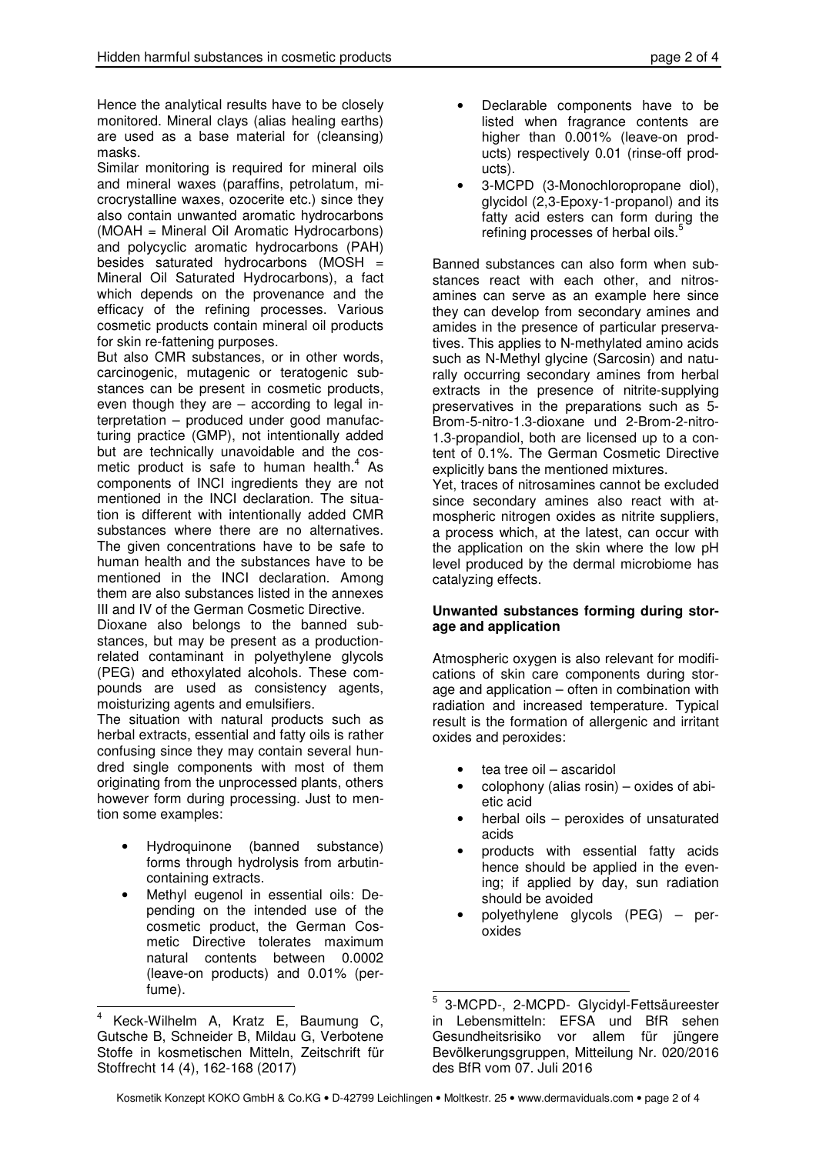Hence the analytical results have to be closely monitored. Mineral clays (alias healing earths) are used as a base material for (cleansing) masks.

Similar monitoring is required for mineral oils and mineral waxes (paraffins, petrolatum, microcrystalline waxes, ozocerite etc.) since they also contain unwanted aromatic hydrocarbons (MOAH = Mineral Oil Aromatic Hydrocarbons) and polycyclic aromatic hydrocarbons (PAH) besides saturated hydrocarbons (MOSH = Mineral Oil Saturated Hydrocarbons), a fact which depends on the provenance and the efficacy of the refining processes. Various cosmetic products contain mineral oil products for skin re-fattening purposes.

But also CMR substances, or in other words, carcinogenic, mutagenic or teratogenic substances can be present in cosmetic products, even though they are – according to legal interpretation – produced under good manufacturing practice (GMP), not intentionally added but are technically unavoidable and the cosmetic product is safe to human health. $4$  As components of INCI ingredients they are not mentioned in the INCI declaration. The situation is different with intentionally added CMR substances where there are no alternatives. The given concentrations have to be safe to human health and the substances have to be mentioned in the INCI declaration. Among them are also substances listed in the annexes III and IV of the German Cosmetic Directive.

Dioxane also belongs to the banned substances, but may be present as a productionrelated contaminant in polyethylene glycols (PEG) and ethoxylated alcohols. These compounds are used as consistency agents, moisturizing agents and emulsifiers.

The situation with natural products such as herbal extracts, essential and fatty oils is rather confusing since they may contain several hundred single components with most of them originating from the unprocessed plants, others however form during processing. Just to mention some examples:

- Hydroquinone (banned substance) forms through hydrolysis from arbutincontaining extracts.
- Methyl eugenol in essential oils: Depending on the intended use of the cosmetic product, the German Cosmetic Directive tolerates maximum natural contents between 0.0002 (leave-on products) and 0.01% (perfume).
- Declarable components have to be listed when fragrance contents are higher than 0.001% (leave-on products) respectively 0.01 (rinse-off products).
- 3-MCPD (3-Monochloropropane diol), glycidol (2,3-Epoxy-1-propanol) and its fatty acid esters can form during the refining processes of herbal oils.<sup>5</sup>

Banned substances can also form when substances react with each other, and nitrosamines can serve as an example here since they can develop from secondary amines and amides in the presence of particular preservatives. This applies to N-methylated amino acids such as N-Methyl glycine (Sarcosin) and naturally occurring secondary amines from herbal extracts in the presence of nitrite-supplying preservatives in the preparations such as 5- Brom-5-nitro-1.3-dioxane und 2-Brom-2-nitro-1.3-propandiol, both are licensed up to a content of 0.1%. The German Cosmetic Directive explicitly bans the mentioned mixtures.

Yet, traces of nitrosamines cannot be excluded since secondary amines also react with atmospheric nitrogen oxides as nitrite suppliers, a process which, at the latest, can occur with the application on the skin where the low pH level produced by the dermal microbiome has catalyzing effects.

#### **Unwanted substances forming during storage and application**

Atmospheric oxygen is also relevant for modifications of skin care components during storage and application – often in combination with radiation and increased temperature. Typical result is the formation of allergenic and irritant oxides and peroxides:

- tea tree oil ascaridol
- $colophony$  (alias rosin) oxides of abietic acid
- herbal oils  $-$  peroxides of unsaturated acids
- products with essential fatty acids hence should be applied in the evening; if applied by day, sun radiation should be avoided
- polyethylene glycols (PEG) peroxides

 $\overline{a}$ 4 Keck-Wilhelm A, Kratz E, Baumung C, Gutsche B, Schneider B, Mildau G, Verbotene Stoffe in kosmetischen Mitteln, Zeitschrift für Stoffrecht 14 (4), 162-168 (2017)

 5 3-MCPD-, 2-MCPD- Glycidyl-Fettsäureester in Lebensmitteln: EFSA und BfR sehen Gesundheitsrisiko vor allem für jüngere Bevölkerungsgruppen, Mitteilung Nr. 020/2016 des BfR vom 07. Juli 2016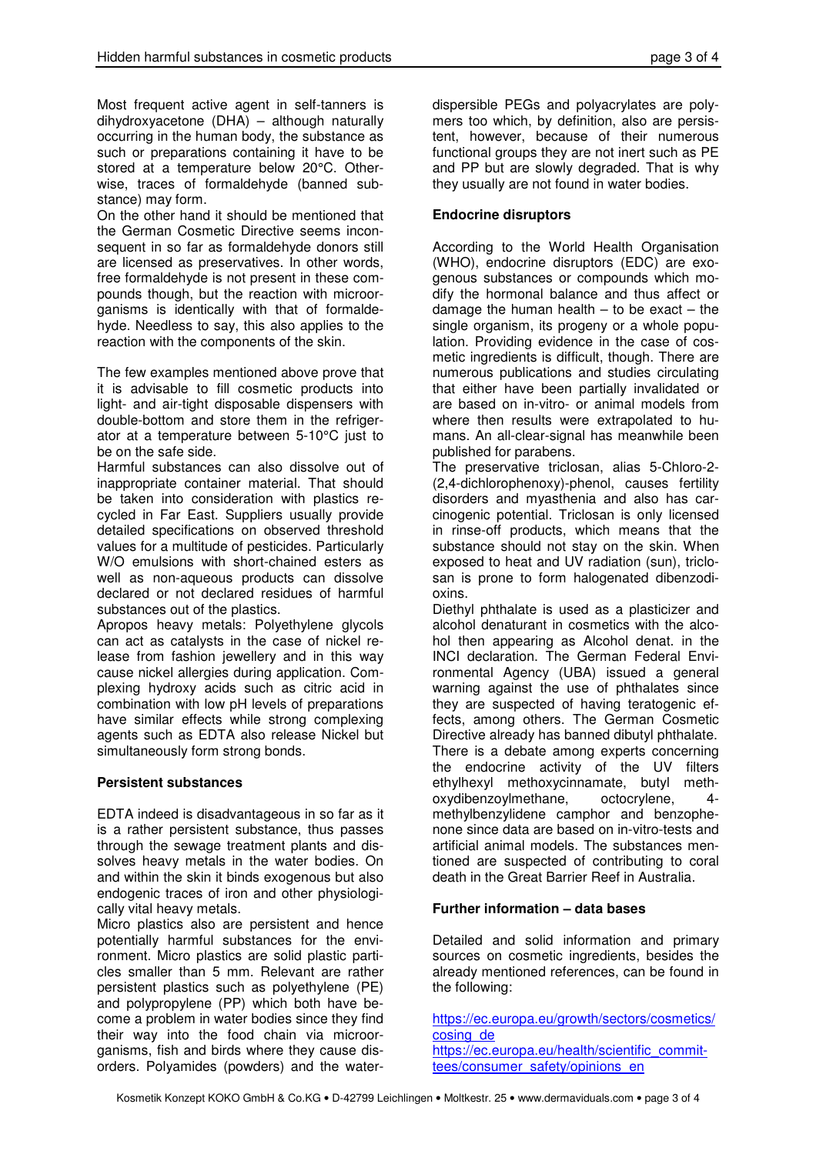Most frequent active agent in self-tanners is dihydroxyacetone (DHA) – although naturally occurring in the human body, the substance as such or preparations containing it have to be stored at a temperature below 20°C. Otherwise, traces of formaldehyde (banned substance) may form.

On the other hand it should be mentioned that the German Cosmetic Directive seems inconsequent in so far as formaldehyde donors still are licensed as preservatives. In other words, free formaldehyde is not present in these compounds though, but the reaction with microorganisms is identically with that of formaldehyde. Needless to say, this also applies to the reaction with the components of the skin.

The few examples mentioned above prove that it is advisable to fill cosmetic products into light- and air-tight disposable dispensers with double-bottom and store them in the refrigerator at a temperature between 5-10°C just to be on the safe side.

Harmful substances can also dissolve out of inappropriate container material. That should be taken into consideration with plastics recycled in Far East. Suppliers usually provide detailed specifications on observed threshold values for a multitude of pesticides. Particularly W/O emulsions with short-chained esters as well as non-aqueous products can dissolve declared or not declared residues of harmful substances out of the plastics.

Apropos heavy metals: Polyethylene glycols can act as catalysts in the case of nickel release from fashion jewellery and in this way cause nickel allergies during application. Complexing hydroxy acids such as citric acid in combination with low pH levels of preparations have similar effects while strong complexing agents such as EDTA also release Nickel but simultaneously form strong bonds.

#### **Persistent substances**

EDTA indeed is disadvantageous in so far as it is a rather persistent substance, thus passes through the sewage treatment plants and dissolves heavy metals in the water bodies. On and within the skin it binds exogenous but also endogenic traces of iron and other physiologically vital heavy metals.

Micro plastics also are persistent and hence potentially harmful substances for the environment. Micro plastics are solid plastic particles smaller than 5 mm. Relevant are rather persistent plastics such as polyethylene (PE) and polypropylene (PP) which both have become a problem in water bodies since they find their way into the food chain via microorganisms, fish and birds where they cause disorders. Polyamides (powders) and the water-

dispersible PEGs and polyacrylates are polymers too which, by definition, also are persistent, however, because of their numerous functional groups they are not inert such as PE and PP but are slowly degraded. That is why they usually are not found in water bodies.

### **Endocrine disruptors**

According to the World Health Organisation (WHO), endocrine disruptors (EDC) are exogenous substances or compounds which modify the hormonal balance and thus affect or damage the human health  $-$  to be exact  $-$  the single organism, its progeny or a whole population. Providing evidence in the case of cosmetic ingredients is difficult, though. There are numerous publications and studies circulating that either have been partially invalidated or are based on in-vitro- or animal models from where then results were extrapolated to humans. An all-clear-signal has meanwhile been published for parabens.

The preservative triclosan, alias 5-Chloro-2- (2,4-dichlorophenoxy)-phenol, causes fertility disorders and myasthenia and also has carcinogenic potential. Triclosan is only licensed in rinse-off products, which means that the substance should not stay on the skin. When exposed to heat and UV radiation (sun), triclosan is prone to form halogenated dibenzodioxins.

Diethyl phthalate is used as a plasticizer and alcohol denaturant in cosmetics with the alcohol then appearing as Alcohol denat. in the INCI declaration. The German Federal Environmental Agency (UBA) issued a general warning against the use of phthalates since they are suspected of having teratogenic effects, among others. The German Cosmetic Directive already has banned dibutyl phthalate. There is a debate among experts concerning the endocrine activity of the UV filters ethylhexyl methoxycinnamate, butyl methoxydibenzoylmethane, octocrylene, 4 methylbenzylidene camphor and benzophenone since data are based on in-vitro-tests and artificial animal models. The substances mentioned are suspected of contributing to coral death in the Great Barrier Reef in Australia.

## **Further information – data bases**

Detailed and solid information and primary sources on cosmetic ingredients, besides the already mentioned references, can be found in the following:

https://ec.europa.eu/growth/sectors/cosmetics/ cosing\_de https://ec.europa.eu/health/scientific\_committees/consumer\_safety/opinions\_en